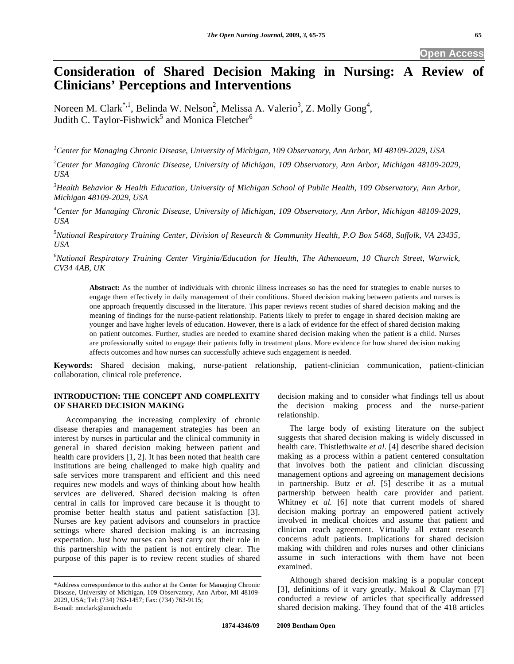# **Consideration of Shared Decision Making in Nursing: A Review of Clinicians' Perceptions and Interventions**

Noreen M. Clark<sup>\*,1</sup>, Belinda W. Nelson<sup>2</sup>, Melissa A. Valerio<sup>3</sup>, Z. Molly Gong<sup>4</sup>, Judith C. Taylor-Fishwick<sup>5</sup> and Monica Fletcher<sup>6</sup>

*1 Center for Managing Chronic Disease, University of Michigan, 109 Observatory, Ann Arbor, MI 48109-2029, USA* 

*2 Center for Managing Chronic Disease, University of Michigan, 109 Observatory, Ann Arbor, Michigan 48109-2029, USA* 

*3 Health Behavior & Health Education, University of Michigan School of Public Health, 109 Observatory, Ann Arbor, Michigan 48109-2029, USA* 

*4 Center for Managing Chronic Disease, University of Michigan, 109 Observatory, Ann Arbor, Michigan 48109-2029, USA* 

*5 National Respiratory Training Center, Division of Research & Community Health, P.O Box 5468, Suffolk, VA 23435, USA* 

*6 National Respiratory Training Center Virginia/Education for Health, The Athenaeum, 10 Church Street, Warwick, CV34 4AB, UK*

**Abstract:** As the number of individuals with chronic illness increases so has the need for strategies to enable nurses to engage them effectively in daily management of their conditions. Shared decision making between patients and nurses is one approach frequently discussed in the literature. This paper reviews recent studies of shared decision making and the meaning of findings for the nurse-patient relationship. Patients likely to prefer to engage in shared decision making are younger and have higher levels of education. However, there is a lack of evidence for the effect of shared decision making on patient outcomes. Further, studies are needed to examine shared decision making when the patient is a child. Nurses are professionally suited to engage their patients fully in treatment plans. More evidence for how shared decision making affects outcomes and how nurses can successfully achieve such engagement is needed.

**Keywords:** Shared decision making, nurse-patient relationship, patient-clinician communication, patient-clinician collaboration, clinical role preference.

# **INTRODUCTION: THE CONCEPT AND COMPLEXITY OF SHARED DECISION MAKING**

 Accompanying the increasing complexity of chronic disease therapies and management strategies has been an interest by nurses in particular and the clinical community in general in shared decision making between patient and health care providers [1, 2]. It has been noted that health care institutions are being challenged to make high quality and safe services more transparent and efficient and this need requires new models and ways of thinking about how health services are delivered. Shared decision making is often central in calls for improved care because it is thought to promise better health status and patient satisfaction [3]. Nurses are key patient advisors and counselors in practice settings where shared decision making is an increasing expectation. Just how nurses can best carry out their role in this partnership with the patient is not entirely clear. The purpose of this paper is to review recent studies of shared

decision making and to consider what findings tell us about the decision making process and the nurse-patient relationship.

 The large body of existing literature on the subject suggests that shared decision making is widely discussed in health care. Thistlethwaite *et al*. [4] describe shared decision making as a process within a patient centered consultation that involves both the patient and clinician discussing management options and agreeing on management decisions in partnership. Butz *et al.* [5] describe it as a mutual partnership between health care provider and patient. Whitney *et al.* [6] note that current models of shared decision making portray an empowered patient actively involved in medical choices and assume that patient and clinician reach agreement. Virtually all extant research concerns adult patients. Implications for shared decision making with children and roles nurses and other clinicians assume in such interactions with them have not been examined.

 Although shared decision making is a popular concept [3], definitions of it vary greatly. Makoul & Clayman [7] conducted a review of articles that specifically addressed shared decision making. They found that of the 418 articles

<sup>\*</sup>Address correspondence to this author at the Center for Managing Chronic Disease, University of Michigan, 109 Observatory, Ann Arbor, MI 48109- 2029, USA; Tel: (734) 763-1457; Fax: (734) 763-9115; E-mail: nmclark@umich.edu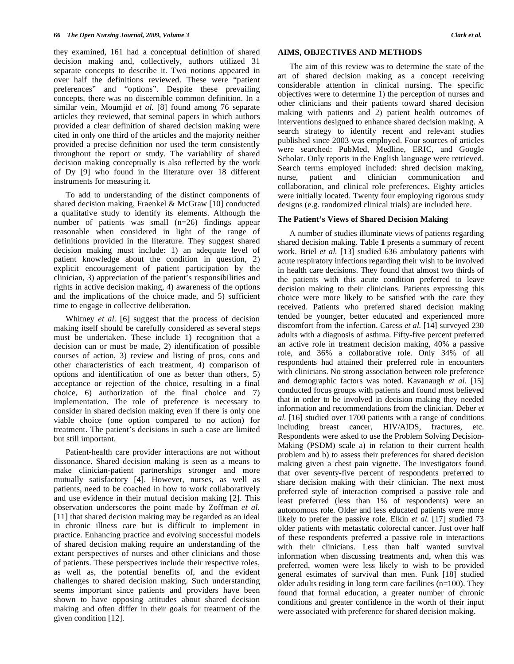they examined, 161 had a conceptual definition of shared decision making and, collectively, authors utilized 31 separate concepts to describe it. Two notions appeared in over half the definitions reviewed. These were "patient preferences" and "options". Despite these prevailing concepts, there was no discernible common definition. In a similar vein, Moumjid *et al.* [8] found among 76 separate articles they reviewed, that seminal papers in which authors provided a clear definition of shared decision making were cited in only one third of the articles and the majority neither provided a precise definition nor used the term consistently throughout the report or study. The variability of shared decision making conceptually is also reflected by the work of Dy [9] who found in the literature over 18 different instruments for measuring it.

 To add to understanding of the distinct components of shared decision making, Fraenkel & McGraw [10] conducted a qualitative study to identify its elements. Although the number of patients was small (n=26) findings appear reasonable when considered in light of the range of definitions provided in the literature. They suggest shared decision making must include: 1) an adequate level of patient knowledge about the condition in question, 2) explicit encouragement of patient participation by the clinician, 3) appreciation of the patient's responsibilities and rights in active decision making, 4) awareness of the options and the implications of the choice made, and 5) sufficient time to engage in collective deliberation.

Whitney *et al.* [6] suggest that the process of decision making itself should be carefully considered as several steps must be undertaken. These include 1) recognition that a decision can or must be made, 2) identification of possible courses of action, 3) review and listing of pros, cons and other characteristics of each treatment, 4) comparison of options and identification of one as better than others, 5) acceptance or rejection of the choice, resulting in a final choice, 6) authorization of the final choice and 7) implementation. The role of preference is necessary to consider in shared decision making even if there is only one viable choice (one option compared to no action) for treatment. The patient's decisions in such a case are limited but still important.

 Patient-health care provider interactions are not without dissonance. Shared decision making is seen as a means to make clinician-patient partnerships stronger and more mutually satisfactory [4]. However, nurses, as well as patients, need to be coached in how to work collaboratively and use evidence in their mutual decision making [2]. This observation underscores the point made by Zoffman *et al.* [11] that shared decision making may be regarded as an ideal in chronic illness care but is difficult to implement in practice. Enhancing practice and evolving successful models of shared decision making require an understanding of the extant perspectives of nurses and other clinicians and those of patients. These perspectives include their respective roles, as well as, the potential benefits of, and the evident challenges to shared decision making. Such understanding seems important since patients and providers have been shown to have opposing attitudes about shared decision making and often differ in their goals for treatment of the given condition [12].

### **AIMS, OBJECTIVES AND METHODS**

 The aim of this review was to determine the state of the art of shared decision making as a concept receiving considerable attention in clinical nursing. The specific objectives were to determine 1) the perception of nurses and other clinicians and their patients toward shared decision making with patients and 2) patient health outcomes of interventions designed to enhance shared decision making. A search strategy to identify recent and relevant studies published since 2003 was employed. Four sources of articles were searched: PubMed, Medline, ERIC, and Google Scholar. Only reports in the English language were retrieved. Search terms employed included: shred decision making, nurse, patient and clinician communication and collaboration, and clinical role preferences. Eighty articles were initially located. Twenty four employing rigorous study designs (e.g. randomized clinical trials) are included here.

### **The Patient's Views of Shared Decision Making**

 A number of studies illuminate views of patients regarding shared decision making. Table **1** presents a summary of recent work. Briel *et al.* [13] studied 636 ambulatory patients with acute respiratory infections regarding their wish to be involved in health care decisions. They found that almost two thirds of the patients with this acute condition preferred to leave decision making to their clinicians. Patients expressing this choice were more likely to be satisfied with the care they received. Patients who preferred shared decision making tended be younger, better educated and experienced more discomfort from the infection. Caress *et al.* [14] surveyed 230 adults with a diagnosis of asthma. Fifty-five percent preferred an active role in treatment decision making, 40% a passive role, and 36% a collaborative role. Only 34% of all respondents had attained their preferred role in encounters with clinicians. No strong association between role preference and demographic factors was noted. Kavanaugh *et al.* [15] conducted focus groups with patients and found most believed that in order to be involved in decision making they needed information and recommendations from the clinician. Deber *et al.* [16] studied over 1700 patients with a range of conditions including breast cancer, HIV/AIDS, fractures, etc. Respondents were asked to use the Problem Solving Decision-Making (PSDM) scale a) in relation to their current health problem and b) to assess their preferences for shared decision making given a chest pain vignette. The investigators found that over seventy-five percent of respondents preferred to share decision making with their clinician. The next most preferred style of interaction comprised a passive role and least preferred (less than 1% of respondents) were an autonomous role. Older and less educated patients were more likely to prefer the passive role. Elkin *et al.* [17] studied 73 older patients with metastatic colorectal cancer. Just over half of these respondents preferred a passive role in interactions with their clinicians. Less than half wanted survival information when discussing treatments and, when this was preferred, women were less likely to wish to be provided general estimates of survival than men. Funk [18] studied older adults residing in long term care facilities  $(n=100)$ . They found that formal education, a greater number of chronic conditions and greater confidence in the worth of their input were associated with preference for shared decision making.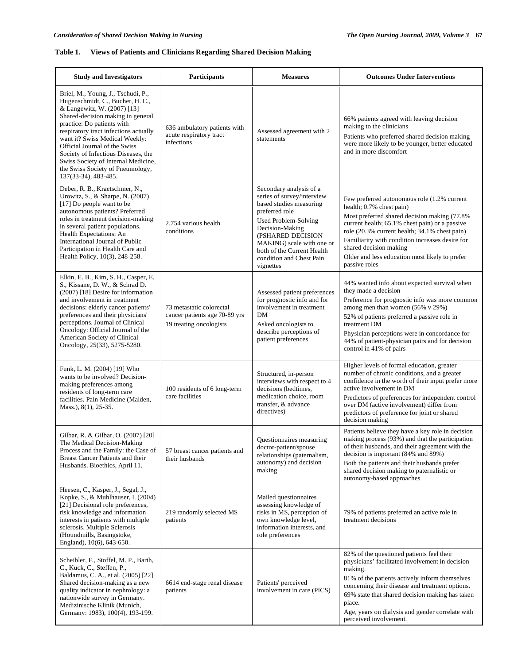# **Table 1. Views of Patients and Clinicians Regarding Shared Decision Making**

| <b>Study and Investigators</b>                                                                                                                                                                                                                                                                                                                                                                                                 | Participants                                                                         | <b>Measures</b>                                                                                                                                                                                                                                                        | <b>Outcomes Under Interventions</b>                                                                                                                                                                                                                                                                                                                                         |
|--------------------------------------------------------------------------------------------------------------------------------------------------------------------------------------------------------------------------------------------------------------------------------------------------------------------------------------------------------------------------------------------------------------------------------|--------------------------------------------------------------------------------------|------------------------------------------------------------------------------------------------------------------------------------------------------------------------------------------------------------------------------------------------------------------------|-----------------------------------------------------------------------------------------------------------------------------------------------------------------------------------------------------------------------------------------------------------------------------------------------------------------------------------------------------------------------------|
| Briel, M., Young, J., Tschudi, P.,<br>Hugenschmidt, C., Bucher, H. C.,<br>& Langewitz, W. (2007) [13]<br>Shared-decision making in general<br>practice: Do patients with<br>respiratory tract infections actually<br>want it? Swiss Medical Weekly:<br>Official Journal of the Swiss<br>Society of Infectious Diseases, the<br>Swiss Society of Internal Medicine,<br>the Swiss Society of Pneumology,<br>137(33-34), 483-485. | 636 ambulatory patients with<br>acute respiratory tract<br>infections                | Assessed agreement with 2<br>statements                                                                                                                                                                                                                                | 66% patients agreed with leaving decision<br>making to the clinicians<br>Patients who preferred shared decision making<br>were more likely to be younger, better educated<br>and in more discomfort                                                                                                                                                                         |
| Deber, R. B., Kraetschmer, N.,<br>Urowitz, S., & Sharpe, N. (2007)<br>[17] Do people want to be<br>autonomous patients? Preferred<br>roles in treatment decision-making<br>in several patient populations.<br>Health Expectations: An<br>International Journal of Public<br>Participation in Health Care and<br>Health Policy, 10(3), 248-258.                                                                                 | 2,754 various health<br>conditions                                                   | Secondary analysis of a<br>series of survey/interview<br>based studies measuring<br>preferred role<br>Used Problem-Solving<br>Decision-Making<br>(PSHARED DECISION<br>MAKING) scale with one or<br>both of the Current Health<br>condition and Chest Pain<br>vignettes | Few preferred autonomous role (1.2% current<br>health; 0.7% chest pain)<br>Most preferred shared decision making (77.8%)<br>current health; 65.1% chest pain) or a passive<br>role (20.3% current health; 34.1% chest pain)<br>Familiarity with condition increases desire for<br>shared decision making<br>Older and less education most likely to prefer<br>passive roles |
| Elkin, E. B., Kim, S. H., Casper, E.<br>S., Kissane, D. W., & Schrad D.<br>(2007) [18] Desire for information<br>and involvement in treatment<br>decisions: elderly cancer patients'<br>preferences and their physicians'<br>perceptions. Journal of Clinical<br>Oncology: Official Journal of the<br>American Society of Clinical<br>Oncology, 25(33), 5275-5280.                                                             | 73 metastatic colorectal<br>cancer patients age 70-89 yrs<br>19 treating oncologists | Assessed patient preferences<br>for prognostic info and for<br>involvement in treatment<br>DM<br>Asked oncologists to<br>describe perceptions of<br>patient preferences                                                                                                | 44% wanted info about expected survival when<br>they made a decision<br>Preference for prognostic info was more common<br>among men than women $(56\% \text{ v } 29\%)$<br>52% of patients preferred a passive role in<br>treatment DM<br>Physician perceptions were in concordance for<br>44% of patient-physician pairs and for decision<br>control in 41% of pairs       |
| Funk, L. M. (2004) [19] Who<br>wants to be involved? Decision-<br>making preferences among<br>residents of long-term care<br>facilities. Pain Medicine (Malden,<br>Mass.), 8(1), 25-35.                                                                                                                                                                                                                                        | 100 residents of 6 long-term<br>care facilities                                      | Structured, in-person<br>interviews with respect to 4<br>decisions (bedtimes,<br>medication choice, room<br>transfer, & advance<br>directives)                                                                                                                         | Higher levels of formal education, greater<br>number of chronic conditions, and a greater<br>confidence in the worth of their input prefer more<br>active involvement in DM<br>Predictors of preferences for independent control<br>over DM (active involvement) differ from<br>predictors of preference for joint or shared<br>decision making                             |
| Gilbar, R. & Gilbar, O. (2007) [20]<br>The Medical Decision-Making<br>Process and the Family: the Case of<br>Breast Cancer Patients and their<br>Husbands. Bioethics, April 11.                                                                                                                                                                                                                                                | 57 breast cancer patients and<br>their husbands                                      | Ouestionnaires measuring<br>doctor-patient/spouse<br>relationships (paternalism,<br>autonomy) and decision<br>making                                                                                                                                                   | Patients believe they have a key role in decision<br>making process (93%) and that the participation<br>of their husbands, and their agreement with the<br>decision is important (84% and 89%)<br>Both the patients and their husbands prefer<br>shared decision making to paternalistic or<br>autonomy-based approaches                                                    |
| Heesen, C., Kasper, J., Segal, J.,<br>Kopke, S., & Muhlhauser, I. (2004)<br>[21] Decisional role preferences,<br>risk knowledge and information<br>interests in patients with multiple<br>sclerosis. Multiple Sclerosis<br>(Houndmills, Basingstoke,<br>England), 10(6), 643-650.                                                                                                                                              | 219 randomly selected MS<br>patients                                                 | Mailed questionnaires<br>assessing knowledge of<br>risks in MS, perception of<br>own knowledge level,<br>information interests, and<br>role preferences                                                                                                                | 79% of patients preferred an active role in<br>treatment decisions                                                                                                                                                                                                                                                                                                          |
| Scheibler, F., Stoffel, M. P., Barth,<br>C., Kuck, C., Steffen, P.,<br>Baldamus, C. A., et al. (2005) [22]<br>Shared decision-making as a new<br>quality indicator in nephrology: a<br>nationwide survey in Germany.<br>Medizinische Klinik (Munich,<br>Germany: 1983), 100(4), 193-199.                                                                                                                                       | 6614 end-stage renal disease<br>patients                                             | Patients' perceived<br>involvement in care (PICS)                                                                                                                                                                                                                      | 82% of the questioned patients feel their<br>physicians' facilitated involvement in decision<br>making.<br>81% of the patients actively inform themselves<br>concerning their disease and treatment options.<br>69% state that shared decision making has taken<br>place.<br>Age, years on dialysis and gender correlate with<br>perceived involvement.                     |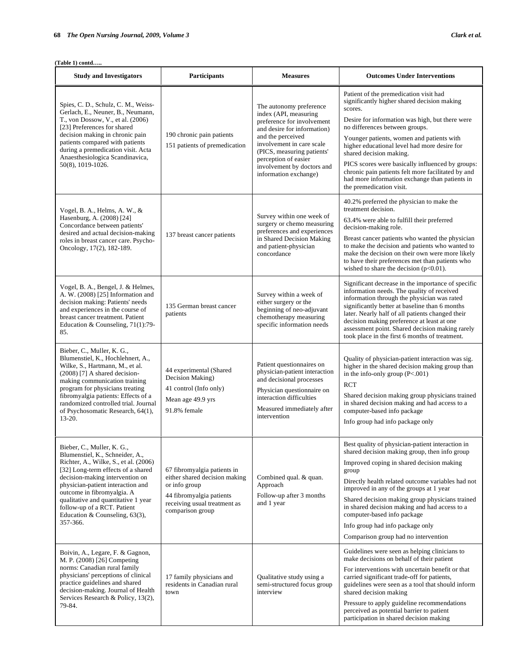| <b>Study and Investigators</b>                                                                                                                                                                                                                                                                                                                                            | <b>Participants</b>                                                                                                                                           | <b>Measures</b>                                                                                                                                                                                                                                                              | <b>Outcomes Under Interventions</b>                                                                                                                                                                                                                                                                                                                                                                                                                                                                   |
|---------------------------------------------------------------------------------------------------------------------------------------------------------------------------------------------------------------------------------------------------------------------------------------------------------------------------------------------------------------------------|---------------------------------------------------------------------------------------------------------------------------------------------------------------|------------------------------------------------------------------------------------------------------------------------------------------------------------------------------------------------------------------------------------------------------------------------------|-------------------------------------------------------------------------------------------------------------------------------------------------------------------------------------------------------------------------------------------------------------------------------------------------------------------------------------------------------------------------------------------------------------------------------------------------------------------------------------------------------|
| Spies, C. D., Schulz, C. M., Weiss-<br>Gerlach, E., Neuner, B., Neumann,<br>T., von Dossow, V., et al. (2006)<br>[23] Preferences for shared<br>decision making in chronic pain<br>patients compared with patients<br>during a premedication visit. Acta<br>Anaesthesiologica Scandinavica,<br>50(8), 1019-1026.                                                          | 190 chronic pain patients<br>151 patients of premedication                                                                                                    | The autonomy preference<br>index (API, measuring<br>preference for involvement<br>and desire for information)<br>and the perceived<br>involvement in care scale<br>(PICS, measuring patients'<br>perception of easier<br>involvement by doctors and<br>information exchange) | Patient of the premedication visit had<br>significantly higher shared decision making<br>scores.<br>Desire for information was high, but there were<br>no differences between groups.<br>Younger patients, women and patients with<br>higher educational level had more desire for<br>shared decision making.<br>PICS scores were basically influenced by groups:<br>chronic pain patients felt more facilitated by and<br>had more information exchange than patients in<br>the premedication visit. |
| Vogel, B. A., Helms, A. W., &<br>Hasenburg, A. (2008) [24]<br>Concordance between patients'<br>desired and actual decision-making<br>roles in breast cancer care. Psycho-<br>Oncology, 17(2), 182-189.                                                                                                                                                                    | 137 breast cancer patients                                                                                                                                    | Survey within one week of<br>surgery or chemo measuring<br>preferences and experiences<br>in Shared Decision Making<br>and patient-physician<br>concordance                                                                                                                  | 40.2% preferred the physician to make the<br>treatment decision.<br>63.4% were able to fulfill their preferred<br>decision-making role.<br>Breast cancer patients who wanted the physician<br>to make the decision and patients who wanted to<br>make the decision on their own were more likely<br>to have their preferences met than patients who<br>wished to share the decision $(p<0.01)$ .                                                                                                      |
| Vogel, B. A., Bengel, J. & Helmes,<br>A. W. (2008) [25] Information and<br>decision making: Patients' needs<br>and experiences in the course of<br>breast cancer treatment. Patient<br>Education & Counseling, 71(1):79-<br>85.                                                                                                                                           | 135 German breast cancer<br>patients                                                                                                                          | Survey within a week of<br>either surgery or the<br>beginning of neo-adjuvant<br>chemotherapy measuring<br>specific information needs                                                                                                                                        | Significant decrease in the importance of specific<br>information needs. The quality of received<br>information through the physician was rated<br>significantly better at baseline than 6 months<br>later. Nearly half of all patients changed their<br>decision making preference at least at one<br>assessment point. Shared decision making rarely<br>took place in the first 6 months of treatment.                                                                                              |
| Bieber, C., Muller, K. G.,<br>Blumenstiel, K., Hochlehnert, A.,<br>Wilke, S., Hartmann, M., et al.<br>$(2008)$ [7] A shared decision-<br>making communication training<br>program for physicians treating<br>fibromyalgia patients: Effects of a<br>randomized controlled trial. Journal<br>of Psychosomatic Research, 64(1),<br>$13 - 20.$                               | 44 experimental (Shared<br>Decision Making)<br>41 control (Info only)<br>Mean age 49.9 yrs<br>91.8% female                                                    | Patient questionnaires on<br>physician-patient interaction<br>and decisional processes<br>Physician questionnaire on<br>interaction difficulties<br>Measured immediately after<br>intervention                                                                               | Quality of physician-patient interaction was sig.<br>higher in the shared decision making group than<br>in the info-only group $(P<.001)$<br><b>RCT</b><br>Shared decision making group physicians trained<br>in shared decision making and had access to a<br>computer-based info package<br>Info group had info package only                                                                                                                                                                        |
| Bieber, C., Muller, K. G.,<br>Blumenstiel, K., Schneider, A.,<br>Richter, A., Wilke, S., et al. (2006)<br>[32] Long-term effects of a shared<br>decision-making intervention on<br>physician-patient interaction and<br>outcome in fibromyalgia. A<br>qualitative and quantitative 1 year<br>follow-up of a RCT. Patient<br>Education & Counseling, $63(3)$ ,<br>357-366. | 67 fibromyalgia patients in<br>either shared decision making<br>or info group<br>44 fibromyalgia patients<br>receiving usual treatment as<br>comparison group | Combined qual. & quan.<br>Approach<br>Follow-up after 3 months<br>and 1 year                                                                                                                                                                                                 | Best quality of physician-patient interaction in<br>shared decision making group, then info group<br>Improved coping in shared decision making<br>group<br>Directly health related outcome variables had not<br>improved in any of the groups at 1 year<br>Shared decision making group physicians trained<br>in shared decision making and had access to a<br>computer-based info package<br>Info group had info package only<br>Comparison group had no intervention                                |
| Boivin, A., Legare, F. & Gagnon,<br>M. P. (2008) [26] Competing<br>norms: Canadian rural family<br>physicians' perceptions of clinical<br>practice guidelines and shared<br>decision-making. Journal of Health<br>Services Research & Policy, 13(2),<br>79-84.                                                                                                            | 17 family physicians and<br>residents in Canadian rural<br>town                                                                                               | Qualitative study using a<br>semi-structured focus group<br>interview                                                                                                                                                                                                        | Guidelines were seen as helping clinicians to<br>make decisions on behalf of their patient<br>For interventions with uncertain benefit or that<br>carried significant trade-off for patients,<br>guidelines were seen as a tool that should inform<br>shared decision making<br>Pressure to apply guideline recommendations<br>perceived as potential barrier to patient<br>participation in shared decision making                                                                                   |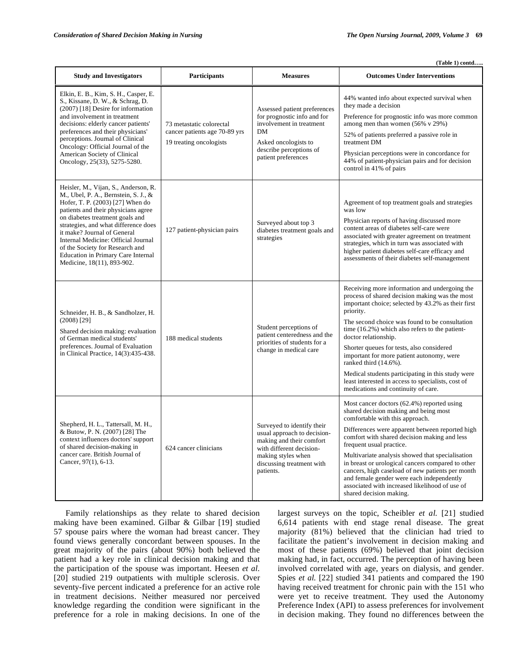| (Table 1) contd                                                                                                                                                                                                                                                                                                                                                                                                        |                                                                                      |                                                                                                                                                                                   |                                                                                                                                                                                                                                                                                                                                                                                                                                                                                                                                                                     |
|------------------------------------------------------------------------------------------------------------------------------------------------------------------------------------------------------------------------------------------------------------------------------------------------------------------------------------------------------------------------------------------------------------------------|--------------------------------------------------------------------------------------|-----------------------------------------------------------------------------------------------------------------------------------------------------------------------------------|---------------------------------------------------------------------------------------------------------------------------------------------------------------------------------------------------------------------------------------------------------------------------------------------------------------------------------------------------------------------------------------------------------------------------------------------------------------------------------------------------------------------------------------------------------------------|
| <b>Study and Investigators</b>                                                                                                                                                                                                                                                                                                                                                                                         | Participants                                                                         | <b>Measures</b>                                                                                                                                                                   | <b>Outcomes Under Interventions</b>                                                                                                                                                                                                                                                                                                                                                                                                                                                                                                                                 |
| Elkin, E. B., Kim, S. H., Casper, E.<br>S., Kissane, D. W., & Schrag, D.<br>(2007) [18] Desire for information<br>and involvement in treatment<br>decisions: elderly cancer patients'<br>preferences and their physicians'<br>perceptions. Journal of Clinical<br>Oncology: Official Journal of the<br>American Society of Clinical<br>Oncology, 25(33), 5275-5280.                                                    | 73 metastatic colorectal<br>cancer patients age 70-89 yrs<br>19 treating oncologists | Assessed patient preferences<br>for prognostic info and for<br>involvement in treatment<br><b>DM</b><br>Asked oncologists to<br>describe perceptions of<br>patient preferences    | 44% wanted info about expected survival when<br>they made a decision<br>Preference for prognostic info was more common<br>among men than women (56% v 29%)<br>52% of patients preferred a passive role in<br>treatment DM<br>Physician perceptions were in concordance for<br>44% of patient-physician pairs and for decision<br>control in 41% of pairs                                                                                                                                                                                                            |
| Heisler, M., Vijan, S., Anderson, R.<br>M., Ubel, P. A., Bernstein, S. J., &<br>Hofer, T. P. (2003) [27] When do<br>patients and their physicians agree<br>on diabetes treatment goals and<br>strategies, and what difference does<br>it make? Journal of General<br>Internal Medicine: Official Journal<br>of the Society for Research and<br><b>Education in Primary Care Internal</b><br>Medicine, 18(11), 893-902. | 127 patient-physician pairs                                                          | Surveyed about top 3<br>diabetes treatment goals and<br>strategies                                                                                                                | Agreement of top treatment goals and strategies<br>was low<br>Physician reports of having discussed more<br>content areas of diabetes self-care were<br>associated with greater agreement on treatment<br>strategies, which in turn was associated with<br>higher patient diabetes self-care efficacy and<br>assessments of their diabetes self-management                                                                                                                                                                                                          |
| Schneider, H. B., & Sandholzer, H.<br>$(2008)$ [29]<br>Shared decision making: evaluation<br>of German medical students'<br>preferences. Journal of Evaluation<br>in Clinical Practice, 14(3):435-438.                                                                                                                                                                                                                 | 188 medical students                                                                 | Student perceptions of<br>patient centeredness and the<br>priorities of students for a<br>change in medical care                                                                  | Receiving more information and undergoing the<br>process of shared decision making was the most<br>important choice; selected by 43.2% as their first<br>priority.<br>The second choice was found to be consultation<br>time (16.2%) which also refers to the patient-<br>doctor relationship.<br>Shorter queues for tests, also considered<br>important for more patient autonomy, were<br>ranked third (14.6%).<br>Medical students participating in this study were<br>least interested in access to specialists, cost of<br>medications and continuity of care. |
| Shepherd, H. L., Tattersall, M. H.,<br>& Butow, P. N. (2007) [28] The<br>context influences doctors' support<br>of shared decision-making in<br>cancer care. British Journal of<br>Cancer, 97(1), 6-13.                                                                                                                                                                                                                | 624 cancer clinicians                                                                | Surveyed to identify their<br>usual approach to decision-<br>making and their comfort<br>with different decision-<br>making styles when<br>discussing treatment with<br>patients. | Most cancer doctors (62.4%) reported using<br>shared decision making and being most<br>comfortable with this approach.<br>Differences were apparent between reported high<br>comfort with shared decision making and less<br>frequent usual practice.<br>Multivariate analysis showed that specialisation<br>in breast or urological cancers compared to other<br>cancers, high caseload of new patients per month<br>and female gender were each independently<br>associated with increased likelihood of use of<br>shared decision making.                        |

 Family relationships as they relate to shared decision making have been examined. Gilbar & Gilbar [19] studied 57 spouse pairs where the woman had breast cancer. They found views generally concordant between spouses. In the great majority of the pairs (about 90%) both believed the patient had a key role in clinical decision making and that the participation of the spouse was important. Heesen *et al.* [20] studied 219 outpatients with multiple sclerosis. Over seventy-five percent indicated a preference for an active role in treatment decisions. Neither measured nor perceived knowledge regarding the condition were significant in the preference for a role in making decisions. In one of the

largest surveys on the topic, Scheibler *et al.* [21] studied 6,614 patients with end stage renal disease. The great majority (81%) believed that the clinician had tried to facilitate the patient's involvement in decision making and most of these patients (69%) believed that joint decision making had, in fact, occurred. The perception of having been involved correlated with age, years on dialysis, and gender. Spies *et al.* [22] studied 341 patients and compared the 190 having received treatment for chronic pain with the 151 who were yet to receive treatment. They used the Autonomy Preference Index (API) to assess preferences for involvement in decision making. They found no differences between the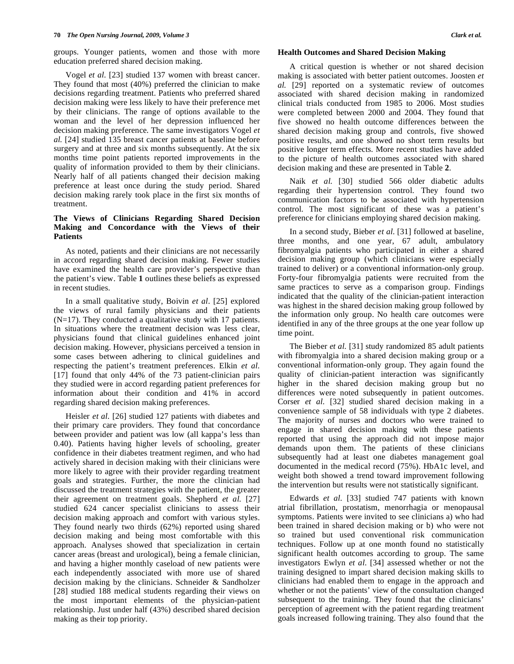groups. Younger patients, women and those with more education preferred shared decision making.

 Vogel *et al.* [23] studied 137 women with breast cancer. They found that most (40%) preferred the clinician to make decisions regarding treatment. Patients who preferred shared decision making were less likely to have their preference met by their clinicians. The range of options available to the woman and the level of her depression influenced her decision making preference. The same investigators Vogel *et al.* [24] studied 135 breast cancer patients at baseline before surgery and at three and six months subsequently. At the six months time point patients reported improvements in the quality of information provided to them by their clinicians. Nearly half of all patients changed their decision making preference at least once during the study period. Shared decision making rarely took place in the first six months of treatment.

### **The Views of Clinicians Regarding Shared Decision Making and Concordance with the Views of their Patients**

 As noted, patients and their clinicians are not necessarily in accord regarding shared decision making. Fewer studies have examined the health care provider's perspective than the patient's view. Table **1** outlines these beliefs as expressed in recent studies.

 In a small qualitative study, Boivin *et al*. [25] explored the views of rural family physicians and their patients (N=17). They conducted a qualitative study with 17 patients. In situations where the treatment decision was less clear, physicians found that clinical guidelines enhanced joint decision making. However, physicians perceived a tension in some cases between adhering to clinical guidelines and respecting the patient's treatment preferences. Elkin *et al.* [17] found that only 44% of the 73 patient-clinician pairs they studied were in accord regarding patient preferences for information about their condition and 41% in accord regarding shared decision making preferences.

 Heisler *et al.* [26] studied 127 patients with diabetes and their primary care providers. They found that concordance between provider and patient was low (all kappa's less than 0.40). Patients having higher levels of schooling, greater confidence in their diabetes treatment regimen, and who had actively shared in decision making with their clinicians were more likely to agree with their provider regarding treatment goals and strategies. Further, the more the clinician had discussed the treatment strategies with the patient, the greater their agreement on treatment goals. Shepherd *et al.* [27] studied 624 cancer specialist clinicians to assess their decision making approach and comfort with various styles. They found nearly two thirds (62%) reported using shared decision making and being most comfortable with this approach. Analyses showed that specialization in certain cancer areas (breast and urological), being a female clinician, and having a higher monthly caseload of new patients were each independently associated with more use of shared decision making by the clinicians. Schneider & Sandholzer [28] studied 188 medical students regarding their views on the most important elements of the physician-patient relationship. Just under half (43%) described shared decision making as their top priority.

### **Health Outcomes and Shared Decision Making**

 A critical question is whether or not shared decision making is associated with better patient outcomes. Joosten *et al.* [29] reported on a systematic review of outcomes associated with shared decision making in randomized clinical trials conducted from 1985 to 2006. Most studies were completed between 2000 and 2004. They found that five showed no health outcome differences between the shared decision making group and controls, five showed positive results, and one showed no short term results but positive longer term effects. More recent studies have added to the picture of health outcomes associated with shared decision making and these are presented in Table **2**.

 Naik *et al.* [30] studied 566 older diabetic adults regarding their hypertension control. They found two communication factors to be associated with hypertension control. The most significant of these was a patient's preference for clinicians employing shared decision making.

 In a second study, Bieber *et al*. [31] followed at baseline, three months, and one year, 67 adult, ambulatory fibromyalgia patients who participated in either a shared decision making group (which clinicians were especially trained to deliver) or a conventional information-only group. Forty-four fibromyalgia patients were recruited from the same practices to serve as a comparison group. Findings indicated that the quality of the clinician-patient interaction was highest in the shared decision making group followed by the information only group. No health care outcomes were identified in any of the three groups at the one year follow up time point.

 The Bieber *et al.* [31] study randomized 85 adult patients with fibromyalgia into a shared decision making group or a conventional information-only group. They again found the quality of clinician-patient interaction was significantly higher in the shared decision making group but no differences were noted subsequently in patient outcomes. Corser *et al*. [32] studied shared decision making in a convenience sample of 58 individuals with type 2 diabetes. The majority of nurses and doctors who were trained to engage in shared decision making with these patients reported that using the approach did not impose major demands upon them. The patients of these clinicians subsequently had at least one diabetes management goal documented in the medical record (75%). HbA1c level, and weight both showed a trend toward improvement following the intervention but results were not statistically significant.

 Edwards *et al.* [33] studied 747 patients with known atrial fibrillation, prostatism, menorrhagia or menopausal symptoms. Patients were invited to see clinicians a) who had been trained in shared decision making or b) who were not so trained but used conventional risk communication techniques. Follow up at one month found no statistically significant health outcomes according to group. The same investigators Ewlyn *et al*. [34] assessed whether or not the training designed to impart shared decision making skills to clinicians had enabled them to engage in the approach and whether or not the patients' view of the consultation changed subsequent to the training. They found that the clinicians' perception of agreement with the patient regarding treatment goals increased following training. They also found that the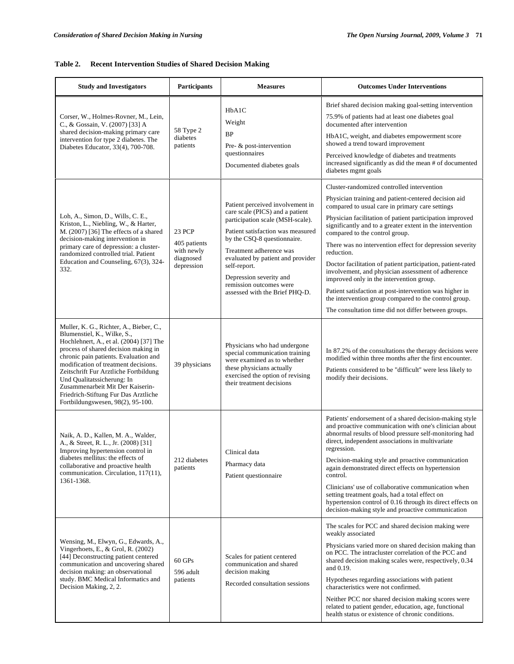# **Table 2. Recent Intervention Studies of Shared Decision Making**

| <b>Study and Investigators</b>                                                                                                                                                                                                                                                                                                                                                                                                     | Participants                                                           | <b>Measures</b>                                                                                                                                                                                                                                                                                                                                     | <b>Outcomes Under Interventions</b>                                                                                                                                                                                                                                                                                                                                                                                                                                                                                                                                                                                                                                                                                                     |
|------------------------------------------------------------------------------------------------------------------------------------------------------------------------------------------------------------------------------------------------------------------------------------------------------------------------------------------------------------------------------------------------------------------------------------|------------------------------------------------------------------------|-----------------------------------------------------------------------------------------------------------------------------------------------------------------------------------------------------------------------------------------------------------------------------------------------------------------------------------------------------|-----------------------------------------------------------------------------------------------------------------------------------------------------------------------------------------------------------------------------------------------------------------------------------------------------------------------------------------------------------------------------------------------------------------------------------------------------------------------------------------------------------------------------------------------------------------------------------------------------------------------------------------------------------------------------------------------------------------------------------------|
| Corser, W., Holmes-Rovner, M., Lein,<br>C., & Gossain, V. (2007) [33] A<br>shared decision-making primary care<br>intervention for type 2 diabetes. The<br>Diabetes Educator, 33(4), 700-708.                                                                                                                                                                                                                                      | 58 Type 2<br>diabetes<br>patients                                      | HbA1C<br>Weight<br><b>BP</b><br>Pre- & post-intervention<br>questionnaires<br>Documented diabetes goals                                                                                                                                                                                                                                             | Brief shared decision making goal-setting intervention<br>75.9% of patients had at least one diabetes goal<br>documented after intervention<br>HbA1C, weight, and diabetes empowerment score<br>showed a trend toward improvement<br>Perceived knowledge of diabetes and treatments<br>increased significantly as did the mean # of documented<br>diabetes mgmt goals                                                                                                                                                                                                                                                                                                                                                                   |
| Loh, A., Simon, D., Wills, C. E.,<br>Kriston, L., Niebling, W., & Harter,<br>M. (2007) [36] The effects of a shared<br>decision-making intervention in<br>primary care of depression: a cluster-<br>randomized controlled trial. Patient<br>Education and Counseling, 67(3), 324-<br>332.                                                                                                                                          | <b>23 PCP</b><br>405 patients<br>with newly<br>diagnosed<br>depression | Patient perceived involvement in<br>care scale (PICS) and a patient<br>participation scale (MSH-scale).<br>Patient satisfaction was measured<br>by the CSQ-8 questionnaire.<br>Treatment adherence was<br>evaluated by patient and provider<br>self-report.<br>Depression severity and<br>remission outcomes were<br>assessed with the Brief PHQ-D. | Cluster-randomized controlled intervention<br>Physician training and patient-centered decision aid<br>compared to usual care in primary care settings<br>Physician facilitation of patient participation improved<br>significantly and to a greater extent in the intervention<br>compared to the control group.<br>There was no intervention effect for depression severity<br>reduction.<br>Doctor facilitation of patient participation, patient-rated<br>involvement, and physician assessment of adherence<br>improved only in the intervention group.<br>Patient satisfaction at post-intervention was higher in<br>the intervention group compared to the control group.<br>The consultation time did not differ between groups. |
| Muller, K. G., Richter, A., Bieber, C.,<br>Blumenstiel, K., Wilke, S.,<br>Hochlehnert, A., et al. (2004) [37] The<br>process of shared decision making in<br>chronic pain patients. Evaluation and<br>modification of treatment decisions.<br>Zeitschrift Fur Arztliche Fortbildung<br>Und Qualitatssicherung: In<br>Zusammenarbeit Mit Der Kaiserin-<br>Friedrich-Stiftung Fur Das Arztliche<br>Fortbildungswesen, 98(2), 95-100. | 39 physicians                                                          | Physicians who had undergone<br>special communication training<br>were examined as to whether<br>these physicians actually<br>exercised the option of revising<br>their treatment decisions                                                                                                                                                         | In 87.2% of the consultations the therapy decisions were<br>modified within three months after the first encounter.<br>Patients considered to be "difficult" were less likely to<br>modify their decisions.                                                                                                                                                                                                                                                                                                                                                                                                                                                                                                                             |
| Naik, A. D., Kallen, M. A., Walder,<br>A., & Street, R. L., Jr. (2008) [31]<br>Improving hypertension control in<br>diabetes mellitus: the effects of<br>collaborative and proactive health<br>communication. Circulation, 117(11),<br>1361-1368.                                                                                                                                                                                  | 212 diabetes<br>patients                                               | Clinical data<br>Pharmacy data<br>Patient questionnaire                                                                                                                                                                                                                                                                                             | Patients' endorsement of a shared decision-making style<br>and proactive communication with one's clinician about<br>abnormal results of blood pressure self-monitoring had<br>direct, independent associations in multivariate<br>regression.<br>Decision-making style and proactive communication<br>again demonstrated direct effects on hypertension<br>control.<br>Clinicians' use of collaborative communication when<br>setting treatment goals, had a total effect on<br>hypertension control of 0.16 through its direct effects on<br>decision-making style and proactive communication                                                                                                                                        |
| Wensing, M., Elwyn, G., Edwards, A.,<br>Vingerhoets, E., & Grol, R. (2002)<br>[44] Deconstructing patient centered<br>communication and uncovering shared<br>decision making: an observational<br>study. BMC Medical Informatics and<br>Decision Making, 2, 2.                                                                                                                                                                     | $60$ GPs<br>596 adult<br>patients                                      | Scales for patient centered<br>communication and shared<br>decision making<br>Recorded consultation sessions                                                                                                                                                                                                                                        | The scales for PCC and shared decision making were<br>weakly associated<br>Physicians varied more on shared decision making than<br>on PCC. The intracluster correlation of the PCC and<br>shared decision making scales were, respectively, 0.34<br>and 0.19.<br>Hypotheses regarding associations with patient<br>characteristics were not confirmed.<br>Neither PCC nor shared decision making scores were<br>related to patient gender, education, age, functional<br>health status or existence of chronic conditions.                                                                                                                                                                                                             |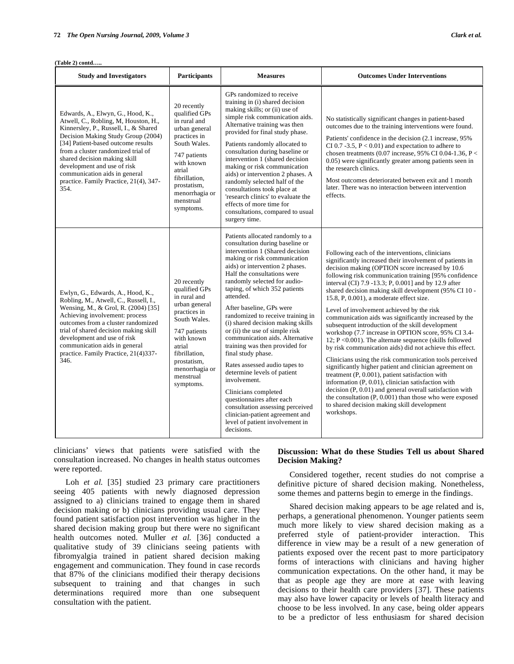| <b>Study and Investigators</b>                                                                                                                                                                                                                                                                                                                                                         | <b>Participants</b>                                                                                                                                                                                               | <b>Measures</b>                                                                                                                                                                                                                                                                                                                                                                                                                                                                                                                                                                                                                                                                                                                                                                        | <b>Outcomes Under Interventions</b>                                                                                                                                                                                                                                                                                                                                                                                                                                                                                                                                                                                                                                                                                                                                                                                                                                                                                                                                                                                                                                                                                                                      |
|----------------------------------------------------------------------------------------------------------------------------------------------------------------------------------------------------------------------------------------------------------------------------------------------------------------------------------------------------------------------------------------|-------------------------------------------------------------------------------------------------------------------------------------------------------------------------------------------------------------------|----------------------------------------------------------------------------------------------------------------------------------------------------------------------------------------------------------------------------------------------------------------------------------------------------------------------------------------------------------------------------------------------------------------------------------------------------------------------------------------------------------------------------------------------------------------------------------------------------------------------------------------------------------------------------------------------------------------------------------------------------------------------------------------|----------------------------------------------------------------------------------------------------------------------------------------------------------------------------------------------------------------------------------------------------------------------------------------------------------------------------------------------------------------------------------------------------------------------------------------------------------------------------------------------------------------------------------------------------------------------------------------------------------------------------------------------------------------------------------------------------------------------------------------------------------------------------------------------------------------------------------------------------------------------------------------------------------------------------------------------------------------------------------------------------------------------------------------------------------------------------------------------------------------------------------------------------------|
| Edwards, A., Elwyn, G., Hood, K.,<br>Atwell, C., Robling, M, Houston, H.,<br>Kinnersley, P., Russell, I., & Shared<br>Decision Making Study Group (2004)<br>[34] Patient-based outcome results<br>from a cluster randomized trial of<br>shared decision making skill<br>development and use of risk<br>communication aids in general<br>practice. Family Practice, 21(4), 347-<br>354. | 20 recently<br>qualified GPs<br>in rural and<br>urban general<br>practices in<br>South Wales.<br>747 patients<br>with known<br>atrial<br>fibrillation.<br>prostatism,<br>menorrhagia or<br>menstrual<br>symptoms. | GPs randomized to receive<br>training in (i) shared decision<br>making skills; or (ii) use of<br>simple risk communication aids.<br>Alternative training was then<br>provided for final study phase.<br>Patients randomly allocated to<br>consultation during baseline or<br>intervention 1 (shared decision<br>making or risk communication<br>aids) or intervention 2 phases. A<br>randomly selected half of the<br>consultations took place at<br>'research clinics' to evaluate the<br>effects of more time for<br>consultations, compared to usual<br>surgery time.                                                                                                                                                                                                               | No statistically significant changes in patient-based<br>outcomes due to the training interventions were found.<br>Patients' confidence in the decision (2.1 increase, 95%)<br>CI 0.7 -3.5, $P < 0.01$ ) and expectation to adhere to<br>chosen treatments (0.07 increase, 95% CI 0.04-1.36, P <<br>0.05) were significantly greater among patients seen in<br>the research clinics.<br>Most outcomes deteriorated between exit and 1 month<br>later. There was no interaction between intervention<br>effects.                                                                                                                                                                                                                                                                                                                                                                                                                                                                                                                                                                                                                                          |
| Ewlyn, G., Edwards, A., Hood, K.,<br>Robling, M., Atwell, C., Russell, I.,<br>Wensing, M., & Grol, R. (2004) [35]<br>Achieving involvement: process<br>outcomes from a cluster randomized<br>trial of shared decision making skill<br>development and use of risk<br>communication aids in general<br>practice. Family Practice, 21(4)337-<br>346.                                     | 20 recently<br>qualified GPs<br>in rural and<br>urban general<br>practices in<br>South Wales.<br>747 patients<br>with known<br>atrial<br>fibrillation.<br>prostatism,<br>menorrhagia or<br>menstrual<br>symptoms. | Patients allocated randomly to a<br>consultation during baseline or<br>intervention 1 (Shared decision<br>making or risk communication<br>aids) or intervention 2 phases.<br>Half the consultations were<br>randomly selected for audio-<br>taping, of which 352 patients<br>attended.<br>After baseline, GPs were<br>randomized to receive training in<br>(i) shared decision making skills<br>or (ii) the use of simple risk<br>communication aids. Alternative<br>training was then provided for<br>final study phase.<br>Rates assessed audio tapes to<br>determine levels of patient<br>involvement.<br>Clinicians completed<br>questionnaires after each<br>consultation assessing perceived<br>clinician-patient agreement and<br>level of patient involvement in<br>decisions. | Following each of the interventions, clinicians<br>significantly increased their involvement of patients in<br>decision making (OPTION score increased by 10.6<br>following risk communication training [95% confidence<br>interval (CI) 7.9 -13.3; P, 0.001] and by 12.9 after<br>shared decision making skill development (95% CI 10 -<br>15.8, P, 0.001), a moderate effect size.<br>Level of involvement achieved by the risk<br>communication aids was significantly increased by the<br>subsequent introduction of the skill development<br>workshop (7.7 increase in OPTION score, 95% CI 3.4-<br>12; $P \le 0.001$ ). The alternate sequence (skills followed<br>by risk communication aids) did not achieve this effect.<br>Clinicians using the risk communication tools perceived<br>significantly higher patient and clinician agreement on<br>treatment (P, 0.001), patient satisfaction with<br>information (P, 0.01), clinician satisfaction with<br>decision $(P, 0.01)$ and general overall satisfaction with<br>the consultation $(P, 0.001)$ than those who were exposed<br>to shared decision making skill development<br>workshops. |

clinicians' views that patients were satisfied with the consultation increased. No changes in health status outcomes were reported.

# Loh *et al.* [35] studied 23 primary care practitioners seeing 405 patients with newly diagnosed depression assigned to a) clinicians trained to engage them in shared decision making or b) clinicians providing usual care. They found patient satisfaction post intervention was higher in the shared decision making group but there were no significant health outcomes noted. Muller *et al.* [36] conducted a qualitative study of 39 clinicians seeing patients with fibromyalgia trained in patient shared decision making engagement and communication. They found in case records that 87% of the clinicians modified their therapy decisions subsequent to training and that changes in such determinations required more than one subsequent consultation with the patient.

# **Discussion: What do these Studies Tell us about Shared Decision Making?**

 Considered together, recent studies do not comprise a definitive picture of shared decision making. Nonetheless, some themes and patterns begin to emerge in the findings.

 Shared decision making appears to be age related and is, perhaps, a generational phenomenon. Younger patients seem much more likely to view shared decision making as a preferred style of patient-provider interaction. This difference in view may be a result of a new generation of patients exposed over the recent past to more participatory forms of interactions with clinicians and having higher communication expectations. On the other hand, it may be that as people age they are more at ease with leaving decisions to their health care providers [37]. These patients may also have lower capacity or levels of health literacy and choose to be less involved. In any case, being older appears to be a predictor of less enthusiasm for shared decision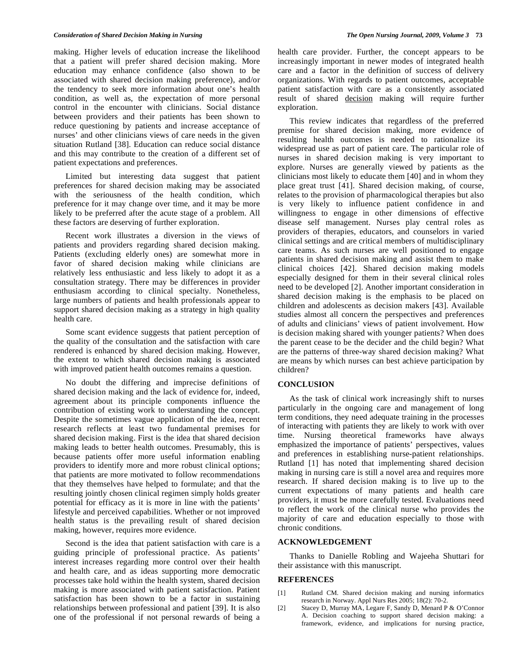making. Higher levels of education increase the likelihood that a patient will prefer shared decision making. More education may enhance confidence (also shown to be associated with shared decision making preference), and/or the tendency to seek more information about one's health condition, as well as, the expectation of more personal control in the encounter with clinicians. Social distance between providers and their patients has been shown to reduce questioning by patients and increase acceptance of nurses' and other clinicians views of care needs in the given situation Rutland [38]. Education can reduce social distance and this may contribute to the creation of a different set of patient expectations and preferences.

 Limited but interesting data suggest that patient preferences for shared decision making may be associated with the seriousness of the health condition, which preference for it may change over time, and it may be more likely to be preferred after the acute stage of a problem. All these factors are deserving of further exploration.

 Recent work illustrates a diversion in the views of patients and providers regarding shared decision making. Patients (excluding elderly ones) are somewhat more in favor of shared decision making while clinicians are relatively less enthusiastic and less likely to adopt it as a consultation strategy. There may be differences in provider enthusiasm according to clinical specialty. Nonetheless, large numbers of patients and health professionals appear to support shared decision making as a strategy in high quality health care.

 Some scant evidence suggests that patient perception of the quality of the consultation and the satisfaction with care rendered is enhanced by shared decision making. However, the extent to which shared decision making is associated with improved patient health outcomes remains a question.

 No doubt the differing and imprecise definitions of shared decision making and the lack of evidence for, indeed, agreement about its principle components influence the contribution of existing work to understanding the concept. Despite the sometimes vague application of the idea, recent research reflects at least two fundamental premises for shared decision making. First is the idea that shared decision making leads to better health outcomes. Presumably, this is because patients offer more useful information enabling providers to identify more and more robust clinical options; that patients are more motivated to follow recommendations that they themselves have helped to formulate; and that the resulting jointly chosen clinical regimen simply holds greater potential for efficacy as it is more in line with the patients' lifestyle and perceived capabilities. Whether or not improved health status is the prevailing result of shared decision making, however, requires more evidence.

 Second is the idea that patient satisfaction with care is a guiding principle of professional practice. As patients' interest increases regarding more control over their health and health care, and as ideas supporting more democratic processes take hold within the health system, shared decision making is more associated with patient satisfaction. Patient satisfaction has been shown to be a factor in sustaining relationships between professional and patient [39]. It is also one of the professional if not personal rewards of being a

health care provider. Further, the concept appears to be increasingly important in newer modes of integrated health care and a factor in the definition of success of delivery organizations. With regards to patient outcomes, acceptable patient satisfaction with care as a consistently associated result of shared decision making will require further exploration.

 This review indicates that regardless of the preferred premise for shared decision making, more evidence of resulting health outcomes is needed to rationalize its widespread use as part of patient care. The particular role of nurses in shared decision making is very important to explore. Nurses are generally viewed by patients as the clinicians most likely to educate them [40] and in whom they place great trust [41]. Shared decision making, of course, relates to the provision of pharmacological therapies but also is very likely to influence patient confidence in and willingness to engage in other dimensions of effective disease self management. Nurses play central roles as providers of therapies, educators, and counselors in varied clinical settings and are critical members of multidisciplinary care teams. As such nurses are well positioned to engage patients in shared decision making and assist them to make clinical choices [42]. Shared decision making models especially designed for them in their several clinical roles need to be developed [2]. Another important consideration in shared decision making is the emphasis to be placed on children and adolescents as decision makers [43]. Available studies almost all concern the perspectives and preferences of adults and clinicians' views of patient involvement. How is decision making shared with younger patients? When does the parent cease to be the decider and the child begin? What are the patterns of three-way shared decision making? What are means by which nurses can best achieve participation by children?

### **CONCLUSION**

 As the task of clinical work increasingly shift to nurses particularly in the ongoing care and management of long term conditions, they need adequate training in the processes of interacting with patients they are likely to work with over time. Nursing theoretical frameworks have always emphasized the importance of patients' perspectives, values and preferences in establishing nurse-patient relationships. Rutland [1] has noted that implementing shared decision making in nursing care is still a novel area and requires more research. If shared decision making is to live up to the current expectations of many patients and health care providers, it must be more carefully tested. Evaluations need to reflect the work of the clinical nurse who provides the majority of care and education especially to those with chronic conditions.

### **ACKNOWLEDGEMENT**

 Thanks to Danielle Robling and Wajeeha Shuttari for their assistance with this manuscript.

### **REFERENCES**

- [1] Rutland CM. Shared decision making and nursing informatics research in Norway. Appl Nurs Res 2005; 18(2): 70-2.
- [2] Stacey D, Murray MA, Legare F, Sandy D, Menard P & O'Connor A. Decision coaching to support shared decision making: a framework, evidence, and implications for nursing practice,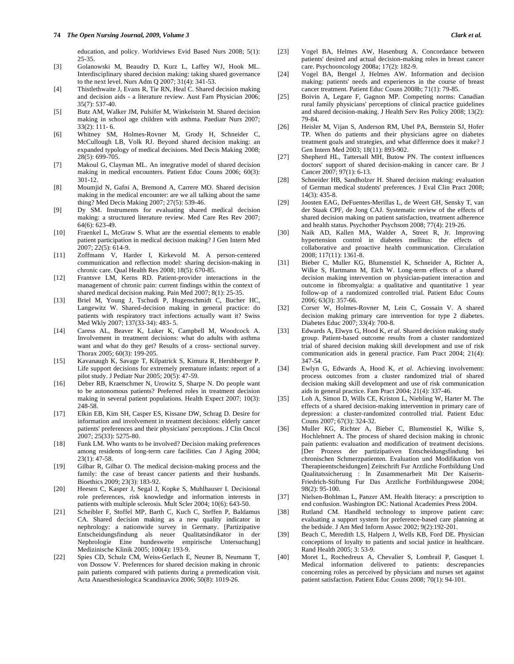education, and policy. Worldviews Evid Based Nurs 2008; 5(1): 25-35.

- [3] Golanowski M, Beaudry D, Kurz L, Laffey WJ, Hook ML. Interdisciplinary shared decision making: taking shared governance to the next level. Nurs Adm Q 2007; 31(4): 341-53.
- [4] Thistlethwaite J, Evans R, Tie RN, Heal C. Shared decision making and decision aids - a literature review. Aust Fam Physician 2006; 35(7): 537-40.
- [5] Butz AM, Walker JM, Pulsifer M, Winkelstein M. Shared decision making in school age children with asthma. Paediatr Nurs 2007; 33(2): 111- 6.
- [6] Whitney SM, Holmes-Rovner M, Grody H, Schneider C, McCullough LB, Volk RJ. Beyond shared decision making: an expanded typology of medical decisions. Med Decis Making 2008; 28(5): 699-705.
- [7] Makoul G, Clayman ML. An integrative model of shared decision making in medical encounters. Patient Educ Couns 2006; 60(3): 301-12.
- [8] Moumjid N, Gafni A, Bremond A, Carrere MO. Shared decision making in the medical encounter: are we all talking about the same thing? Med Decis Making 2007; 27(5): 539-46.
- [9] Dy SM. Instruments for evaluating shared medical decision making: a structured literature review. Med Care Res Rev 2007; 64(6): 623-49.
- [10] Fraenkel L, McGraw S. What are the essential elements to enable patient participation in medical decision making? J Gen Intern Med 2007; 22(5): 614-9.
- [11] Zoffmann V, Harder I, Kirkevold M. A person-centered communication and reflection model: sharing decision-making in chronic care. Qual Health Res 2008; 18(5): 670-85.
- [12] Frantsve LM, Kerns RD. Patient-provider interactions in the management of chronic pain: current findings within the context of shared medical decision making. Pain Med 2007; 8(1): 25-35.
- [13] Briel M, Young J, Tschudi P, Hugenschmidt C, Bucher HC, Langewitz W. Shared-decision making in general practice: do patients with respiratory tract infections actually want it? Swiss Med Wkly 2007; 137(33-34): 483- 5.
- [14] Caress AL, Beaver K, Luker K, Campbell M, Woodcock A. Involvement in treatment decisions: what do adults with asthma want and what do they get? Results of a cross- sectional survey. Thorax 2005; 60(3): 199-205.
- [15] Kavanaugh K, Savage T, Kilpatrick S, Kimura R, Hershberger P. Life support decisions for extremely premature infants: report of a pilot study. J Pediatr Nur 2005; 20(5): 47-59.
- [16] Deber RB, Kraetschmer N, Urowitz S, Sharpe N. Do people want to be autonomous patients? Preferred roles in treatment decision making in several patient populations. Health Expect 2007; 10(3): 248-58.
- [17] Elkin EB, Kim SH, Casper ES, Kissane DW, Schrag D. Desire for information and involvement in treatment decisions: elderly cancer patients' preferences and their physicians' perceptions. J Clin Oncol 2007; 25(33): 5275-80.
- [18] Funk LM. Who wants to be involved? Decision making preferences among residents of long-term care facilities. Can J Aging 2004; 23(1): 47-58.
- [19] Gilbar R, Gilbar O. The medical decision-making process and the family: the case of breast cancer patients and their husbands. Bioethics 2009; 23(3): 183-92.
- [20] Heesen C, Kasper J, Segal J, Kopke S, Muhlhauser I. Decisional role preferences, risk knowledge and information interests in patients with multiple sclerosis. Mult Scler 2004; 10(6): 643-50.
- [21] Scheibler F, Stoffel MP, Barth C, Kuch C, Steffen P, Baldamus CA. Shared decision making as a new quality indicator in nephrology: a nationwide survey in Germany. [Partizipative Entscheidungsfindung als neuer Qualitatsindikator in der Nephrologie Eine bundesweite empirische Untersuchung] Medizinische Klinik 2005; 100(4): 193-9.
- [22] Spies CD, Schulz CM, Weiss-Gerlach E, Neuner B, Neumann T, von Dossow V. Preferences for shared decision making in chronic pain patients compared with patients during a premedication visit. Acta Anaesthesiologica Scandinavica 2006; 50(8): 1019-26.
- [23] Vogel BA, Helmes AW, Hasenburg A. Concordance between patients' desired and actual decision-making roles in breast cancer care. Psychooncology 2008a; 17(2): 182-9.
- [24] Vogel BA, Bengel J, Helmes AW. Information and decision making: patients' needs and experiences in the course of breast cancer treatment. Patient Educ Couns 2008b; 71(1): 79-85.
- [25] Boivin A, Legare F, Gagnon MP. Competing norms: Canadian rural family physicians' perceptions of clinical practice guidelines and shared decision-making. J Health Serv Res Policy 2008; 13(2): 79-84.
- [26] Heisler M, Vijan S, Anderson RM, Ubel PA, Bernstein SJ, Hofer TP. When do patients and their physicians agree on diabetes treatment goals and strategies, and what difference does it make? J Gen Intern Med 2003; 18(11): 893-902.
- [27] Shepherd HL, Tattersall MH, Butow PN. The context influences doctors' support of shared decision-making in cancer care. Br J Cancer 2007; 97(1): 6-13.
- [28] Schneider HB, Sandholzer H. Shared decision making: evaluation of German medical students' preferences*.* J Eval Clin Pract 2008; 14(3): 435-8.
- [29] Joosten EAG, DeFuentes-Merillas L, de Weert GH, Sensky T, van der Staak CPF, de Jong CAJ. Systematic review of the effects of shared decision making on patient satisfaction, treatment adherence and health status. Psychother Psychsom 2008; 77(4): 219-26.
- [30] Naik AD, Kallen MA, Walder A, Street R, Jr. Improving hypertension control in diabetes mellitus: the effects of collaborative and proactive health communication. Circulation 2008; 117(11): 1361-8.
- [31] Bieber C, Muller KG, Blumenstiel K, Schneider A, Richter A, Wilke S, Hartmann M, Eich W. Long-term effects of a shared decision making intervention on physician-patient interaction and outcome in fibromyalgia: a qualitative and quantitative 1 year follow-up of a randomized controlled trial. Patient Educ Couns 2006; 63(3): 357-66.
- [32] Corser W, Holmes-Rovner M, Lein C, Gossain V. A shared decision making primary care intervention for type 2 diabetes. Diabetes Educ 2007; 33(4): 700-8.
- [33] Edwards A, Elwyn G, Hood K, *et al*. Shared decision making study group. Patient-based outcome results from a cluster randomized trial of shared decision making skill development and use of risk communication aids in general practice. Fam Pract 2004; 21(4): 347-54.
- [34] Ewlyn G, Edwards A, Hood K, *et al*. Achieving involvement: process outcomes from a cluster randomized trial of shared decision making skill development and use of risk communication aids in general practice. Fam Pract 2004; 21(4): 337-46.
- [35] Loh A, Simon D, Wills CE, Kriston L, Niebling W, Harter M. The effects of a shared decision-making intervention in primary care of depression: a cluster-randomized controlled trial. Patient Educ Couns 2007; 67(3): 324-32.
- [36] Muller KG, Richter A, Bieber C, Blumenstiel K, Wilke S, Hochlehnert A. The process of shared decision making in chronic pain patients: evaluation and modification of treatment decisions. [Der Prozess der partizipativen Entscheidungsfindung bei chronischen Schmerzpatienten. Evaluation und Modifikation von Therapieentscheidungen] Zeitschrift Fur Arztliche Fortbildung Und Qualitatssicherung : In Zusammenarbeit Mit Der Kaiserin-Friedrich-Stiftung Fur Das Arztliche Fortbildungswese 2004; 98(2): 95-100.
- [37] Nielsen-Bohlman L, Panzer AM. Health literacy: a prescription to end confusion. Washington DC: National Academies Press 2004.
- [38] Rutland CM. Handheld technology to improve patient care: evaluating a support system for preference-based care planning at the bedside. J Am Med Inform Assoc 2002; 9(2):192-201.
- [39] Beach C, Meredith LS, Halpern J, Wells KB, Ford DE. Physician conceptions of loyalty to patients and social justice in healthcare. Rand Health 2005; 3: 53-9.
- [40] Moret L, Rochedreux A, Chevalier S, Lombrail P, Gasquet I. Medical information delivered to patients: descrepancies concerning roles as perceived by physicians and nurses set against patient satisfaction. Patient Educ Couns 2008; 70(1): 94-101.